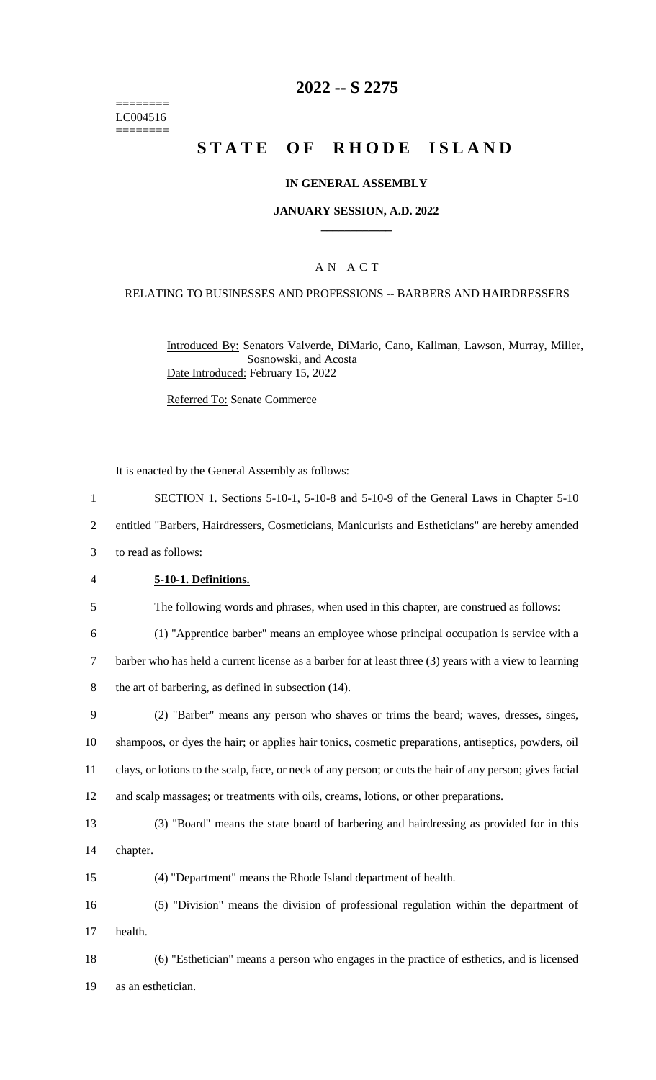======== LC004516  $=$ 

# **2022 -- S 2275**

# **STATE OF RHODE ISLAND**

## **IN GENERAL ASSEMBLY**

#### **JANUARY SESSION, A.D. 2022 \_\_\_\_\_\_\_\_\_\_\_\_**

## A N A C T

## RELATING TO BUSINESSES AND PROFESSIONS -- BARBERS AND HAIRDRESSERS

Introduced By: Senators Valverde, DiMario, Cano, Kallman, Lawson, Murray, Miller, Sosnowski, and Acosta Date Introduced: February 15, 2022

Referred To: Senate Commerce

|                | It is enacted by the General Assembly as follows:                                                         |
|----------------|-----------------------------------------------------------------------------------------------------------|
| $\mathbf{1}$   | SECTION 1. Sections 5-10-1, 5-10-8 and 5-10-9 of the General Laws in Chapter 5-10                         |
| $\overline{c}$ | entitled "Barbers, Hairdressers, Cosmeticians, Manicurists and Estheticians" are hereby amended           |
| 3              | to read as follows:                                                                                       |
| $\overline{4}$ | 5-10-1. Definitions.                                                                                      |
| 5              | The following words and phrases, when used in this chapter, are construed as follows:                     |
| 6              | (1) "Apprentice barber" means an employee whose principal occupation is service with a                    |
| $\tau$         | barber who has held a current license as a barber for at least three (3) years with a view to learning    |
| 8              | the art of barbering, as defined in subsection (14).                                                      |
| 9              | (2) "Barber" means any person who shaves or trims the beard; waves, dresses, singes,                      |
| 10             | shampoos, or dyes the hair; or applies hair tonics, cosmetic preparations, antiseptics, powders, oil      |
| 11             | clays, or lotions to the scalp, face, or neck of any person; or cuts the hair of any person; gives facial |
| 12             | and scalp massages; or treatments with oils, creams, lotions, or other preparations.                      |
| 13             | (3) "Board" means the state board of barbering and hairdressing as provided for in this                   |
| 14             | chapter.                                                                                                  |
| 15             | (4) "Department" means the Rhode Island department of health.                                             |
| 16             | (5) "Division" means the division of professional regulation within the department of                     |
| 17             | health.                                                                                                   |
| 18             | (6) "Esthetician" means a person who engages in the practice of esthetics, and is licensed                |
| 19             | as an esthetician.                                                                                        |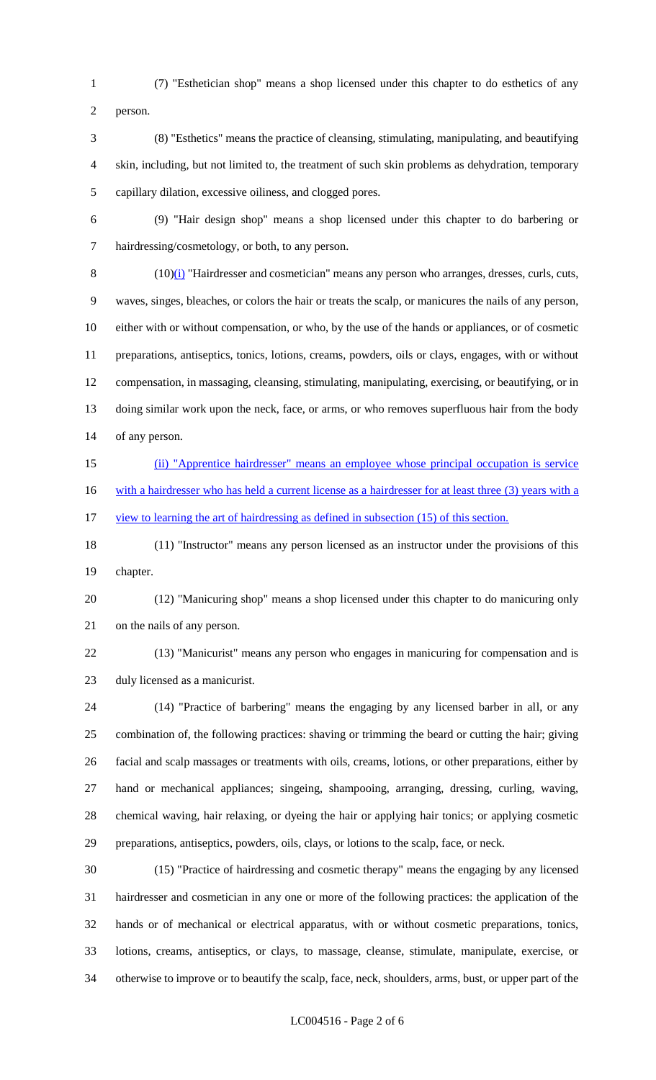(7) "Esthetician shop" means a shop licensed under this chapter to do esthetics of any

person.

 (8) "Esthetics" means the practice of cleansing, stimulating, manipulating, and beautifying skin, including, but not limited to, the treatment of such skin problems as dehydration, temporary capillary dilation, excessive oiliness, and clogged pores.

 (9) "Hair design shop" means a shop licensed under this chapter to do barbering or hairdressing/cosmetology, or both, to any person.

8 (10)(i) "Hairdresser and cosmetician" means any person who arranges, dresses, curls, cuts, waves, singes, bleaches, or colors the hair or treats the scalp, or manicures the nails of any person, either with or without compensation, or who, by the use of the hands or appliances, or of cosmetic preparations, antiseptics, tonics, lotions, creams, powders, oils or clays, engages, with or without compensation, in massaging, cleansing, stimulating, manipulating, exercising, or beautifying, or in doing similar work upon the neck, face, or arms, or who removes superfluous hair from the body of any person.

 (ii) "Apprentice hairdresser" means an employee whose principal occupation is service 16 with a hairdresser who has held a current license as a hairdresser for at least three (3) years with a 17 view to learning the art of hairdressing as defined in subsection (15) of this section.

 (11) "Instructor" means any person licensed as an instructor under the provisions of this chapter.

 (12) "Manicuring shop" means a shop licensed under this chapter to do manicuring only on the nails of any person.

 (13) "Manicurist" means any person who engages in manicuring for compensation and is duly licensed as a manicurist.

 (14) "Practice of barbering" means the engaging by any licensed barber in all, or any combination of, the following practices: shaving or trimming the beard or cutting the hair; giving facial and scalp massages or treatments with oils, creams, lotions, or other preparations, either by hand or mechanical appliances; singeing, shampooing, arranging, dressing, curling, waving, chemical waving, hair relaxing, or dyeing the hair or applying hair tonics; or applying cosmetic preparations, antiseptics, powders, oils, clays, or lotions to the scalp, face, or neck.

 (15) "Practice of hairdressing and cosmetic therapy" means the engaging by any licensed hairdresser and cosmetician in any one or more of the following practices: the application of the hands or of mechanical or electrical apparatus, with or without cosmetic preparations, tonics, lotions, creams, antiseptics, or clays, to massage, cleanse, stimulate, manipulate, exercise, or otherwise to improve or to beautify the scalp, face, neck, shoulders, arms, bust, or upper part of the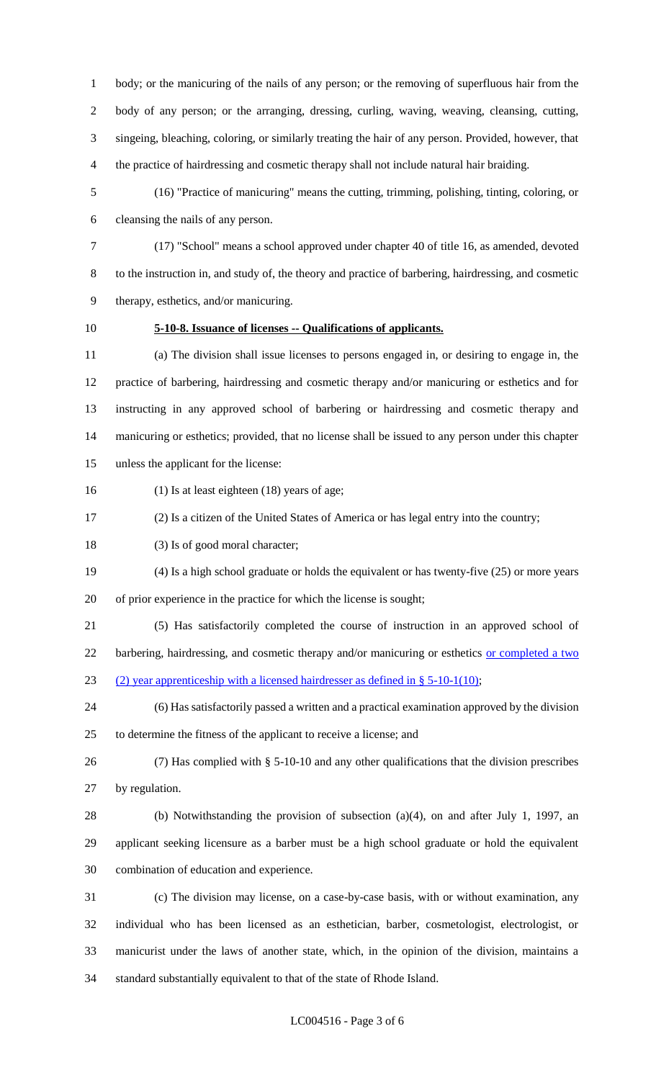body; or the manicuring of the nails of any person; or the removing of superfluous hair from the body of any person; or the arranging, dressing, curling, waving, weaving, cleansing, cutting, singeing, bleaching, coloring, or similarly treating the hair of any person. Provided, however, that the practice of hairdressing and cosmetic therapy shall not include natural hair braiding.

 (16) "Practice of manicuring" means the cutting, trimming, polishing, tinting, coloring, or cleansing the nails of any person.

 (17) "School" means a school approved under chapter 40 of title 16, as amended, devoted to the instruction in, and study of, the theory and practice of barbering, hairdressing, and cosmetic therapy, esthetics, and/or manicuring.

## **5-10-8. Issuance of licenses -- Qualifications of applicants.**

 (a) The division shall issue licenses to persons engaged in, or desiring to engage in, the practice of barbering, hairdressing and cosmetic therapy and/or manicuring or esthetics and for instructing in any approved school of barbering or hairdressing and cosmetic therapy and manicuring or esthetics; provided, that no license shall be issued to any person under this chapter unless the applicant for the license:

- (1) Is at least eighteen (18) years of age;
- (2) Is a citizen of the United States of America or has legal entry into the country;
- 18 (3) Is of good moral character;
- (4) Is a high school graduate or holds the equivalent or has twenty-five (25) or more years

of prior experience in the practice for which the license is sought;

(5) Has satisfactorily completed the course of instruction in an approved school of

22 barbering, hairdressing, and cosmetic therapy and/or manicuring or esthetics or completed a two (2) year apprenticeship with a licensed hairdresser as defined in § 5-10-1(10);

 (6) Has satisfactorily passed a written and a practical examination approved by the division to determine the fitness of the applicant to receive a license; and

 (7) Has complied with § 5-10-10 and any other qualifications that the division prescribes by regulation.

- (b) Notwithstanding the provision of subsection (a)(4), on and after July 1, 1997, an applicant seeking licensure as a barber must be a high school graduate or hold the equivalent combination of education and experience.
- (c) The division may license, on a case-by-case basis, with or without examination, any individual who has been licensed as an esthetician, barber, cosmetologist, electrologist, or manicurist under the laws of another state, which, in the opinion of the division, maintains a standard substantially equivalent to that of the state of Rhode Island.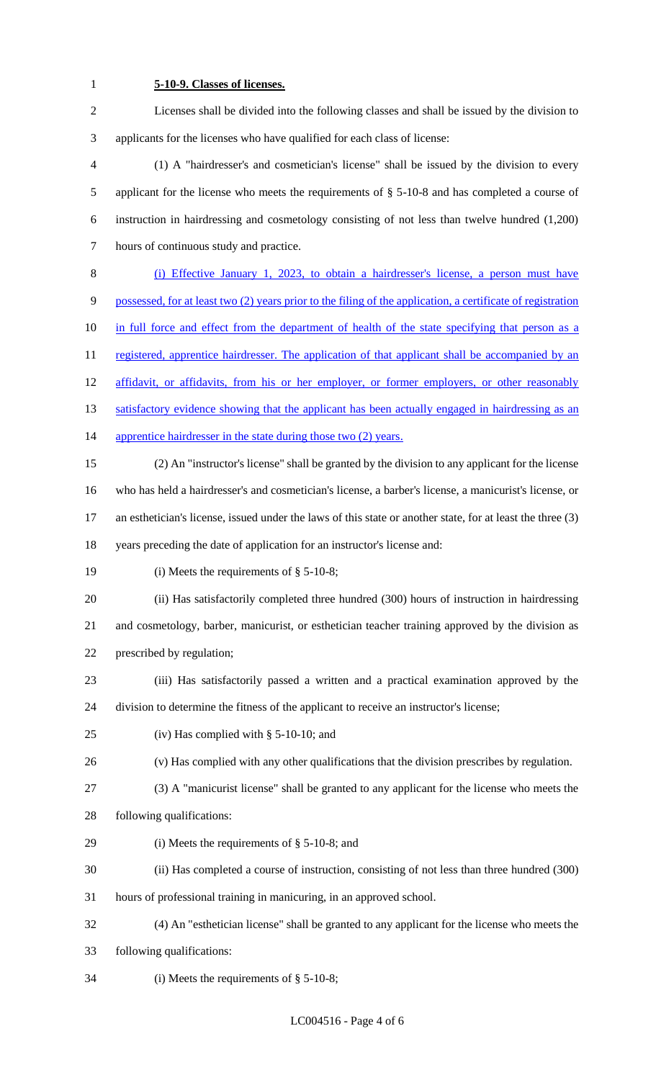## **5-10-9. Classes of licenses.**

 Licenses shall be divided into the following classes and shall be issued by the division to applicants for the licenses who have qualified for each class of license:

- (1) A "hairdresser's and cosmetician's license" shall be issued by the division to every applicant for the license who meets the requirements of § 5-10-8 and has completed a course of instruction in hairdressing and cosmetology consisting of not less than twelve hundred (1,200) hours of continuous study and practice.
- (i) Effective January 1, 2023, to obtain a hairdresser's license, a person must have possessed, for at least two (2) years prior to the filing of the application, a certificate of registration
- 10 in full force and effect from the department of health of the state specifying that person as a

11 registered, apprentice hairdresser. The application of that applicant shall be accompanied by an

- 12 affidavit, or affidavits, from his or her employer, or former employers, or other reasonably
- 13 satisfactory evidence showing that the applicant has been actually engaged in hairdressing as an
- 14 apprentice hairdresser in the state during those two (2) years.
- (2) An "instructor's license" shall be granted by the division to any applicant for the license who has held a hairdresser's and cosmetician's license, a barber's license, a manicurist's license, or an esthetician's license, issued under the laws of this state or another state, for at least the three (3)
- years preceding the date of application for an instructor's license and:
- (i) Meets the requirements of § 5-10-8;
- (ii) Has satisfactorily completed three hundred (300) hours of instruction in hairdressing and cosmetology, barber, manicurist, or esthetician teacher training approved by the division as prescribed by regulation;
- 
- (iii) Has satisfactorily passed a written and a practical examination approved by the division to determine the fitness of the applicant to receive an instructor's license;
- (iv) Has complied with § 5-10-10; and
- (v) Has complied with any other qualifications that the division prescribes by regulation.
- 
- 
- (3) A "manicurist license" shall be granted to any applicant for the license who meets the
- following qualifications:
- (i) Meets the requirements of § 5-10-8; and
- (ii) Has completed a course of instruction, consisting of not less than three hundred (300)
- hours of professional training in manicuring, in an approved school.
- (4) An "esthetician license" shall be granted to any applicant for the license who meets the
- following qualifications:
- (i) Meets the requirements of § 5-10-8;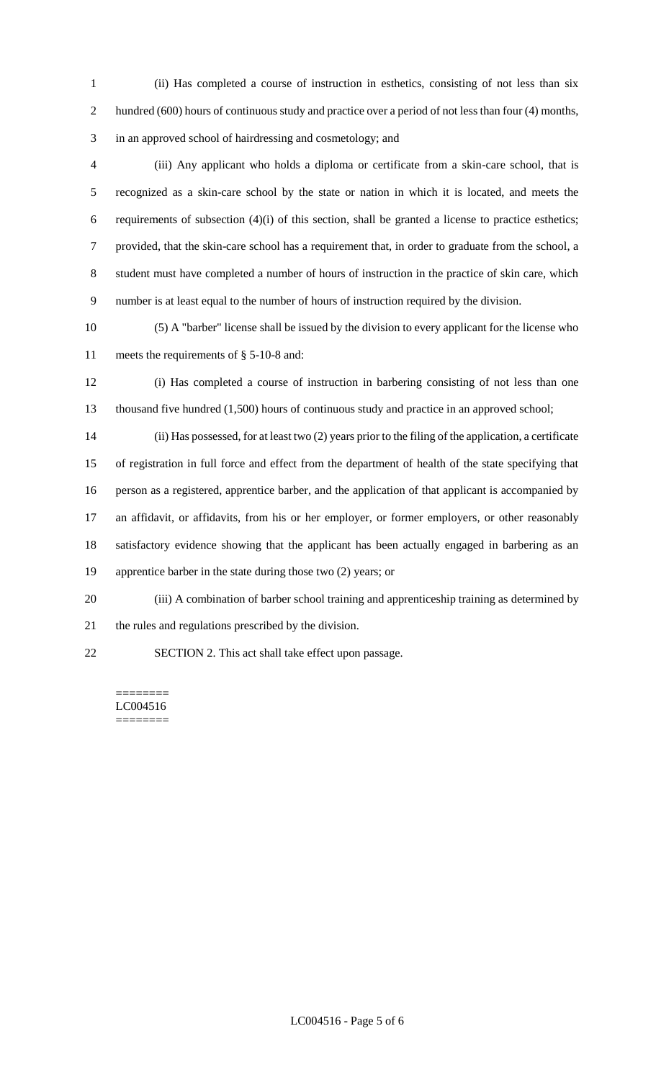(ii) Has completed a course of instruction in esthetics, consisting of not less than six 2 hundred (600) hours of continuous study and practice over a period of not less than four (4) months, in an approved school of hairdressing and cosmetology; and

 (iii) Any applicant who holds a diploma or certificate from a skin-care school, that is recognized as a skin-care school by the state or nation in which it is located, and meets the requirements of subsection (4)(i) of this section, shall be granted a license to practice esthetics; provided, that the skin-care school has a requirement that, in order to graduate from the school, a student must have completed a number of hours of instruction in the practice of skin care, which number is at least equal to the number of hours of instruction required by the division.

 (5) A "barber" license shall be issued by the division to every applicant for the license who meets the requirements of § 5-10-8 and:

 (i) Has completed a course of instruction in barbering consisting of not less than one thousand five hundred (1,500) hours of continuous study and practice in an approved school;

 (ii) Has possessed, for at least two (2) years prior to the filing of the application, a certificate of registration in full force and effect from the department of health of the state specifying that person as a registered, apprentice barber, and the application of that applicant is accompanied by an affidavit, or affidavits, from his or her employer, or former employers, or other reasonably satisfactory evidence showing that the applicant has been actually engaged in barbering as an apprentice barber in the state during those two (2) years; or

- (iii) A combination of barber school training and apprenticeship training as determined by
- the rules and regulations prescribed by the division.
- SECTION 2. This act shall take effect upon passage.

#### ======== LC004516

========